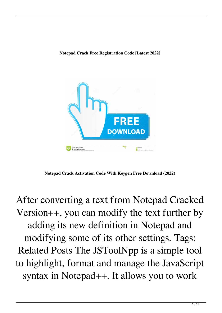

**Notepad Crack Activation Code With Keygen Free Download (2022)**

After converting a text from Notepad Cracked Version++, you can modify the text further by adding its new definition in Notepad and modifying some of its other settings. Tags: Related Posts The JSToolNpp is a simple tool to highlight, format and manage the JavaScript syntax in Notepad++. It allows you to work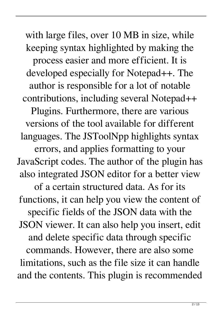with large files, over 10 MB in size, while keeping syntax highlighted by making the process easier and more efficient. It is developed especially for Notepad++. The author is responsible for a lot of notable contributions, including several Notepad++ Plugins. Furthermore, there are various versions of the tool available for different languages. The JSToolNpp highlights syntax errors, and applies formatting to your JavaScript codes. The author of the plugin has also integrated JSON editor for a better view of a certain structured data. As for its functions, it can help you view the content of specific fields of the JSON data with the JSON viewer. It can also help you insert, edit and delete specific data through specific commands. However, there are also some limitations, such as the file size it can handle and the contents. This plugin is recommended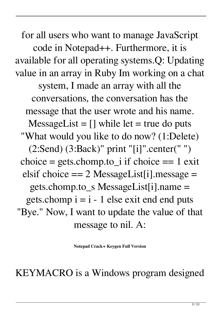for all users who want to manage JavaScript code in Notepad++. Furthermore, it is available for all operating systems.Q: Updating value in an array in Ruby Im working on a chat system, I made an array with all the conversations, the conversation has the message that the user wrote and his name.  $MessageList = []$  while let = true do puts "What would you like to do now? (1:Delete) (2:Send) (3:Back)" print "[i]".center(" ") choice = gets.chomp.to\_i if choice == 1 exit elsif choice  $== 2$  MessageList[i].message  $=$ gets.chomp.to\_s MessageList[i].name = gets.chomp  $i = i - 1$  else exit end end puts "Bye." Now, I want to update the value of that message to nil. A:

**Notepad Crack+ Keygen Full Version**

KEYMACRO is a Windows program designed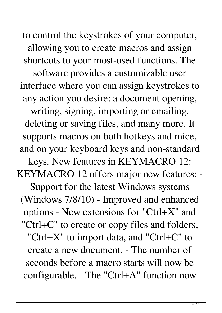to control the keystrokes of your computer, allowing you to create macros and assign shortcuts to your most-used functions. The software provides a customizable user interface where you can assign keystrokes to any action you desire: a document opening, writing, signing, importing or emailing, deleting or saving files, and many more. It supports macros on both hotkeys and mice, and on your keyboard keys and non-standard keys. New features in KEYMACRO 12: KEYMACRO 12 offers major new features: - Support for the latest Windows systems (Windows 7/8/10) - Improved and enhanced options - New extensions for "Ctrl+X" and "Ctrl+C" to create or copy files and folders, "Ctrl+X" to import data, and "Ctrl+C" to create a new document. - The number of seconds before a macro starts will now be configurable. - The "Ctrl+A" function now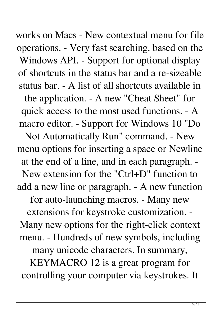works on Macs - New contextual menu for file operations. - Very fast searching, based on the Windows API. - Support for optional display of shortcuts in the status bar and a re-sizeable status bar. - A list of all shortcuts available in the application. - A new "Cheat Sheet" for quick access to the most used functions. - A macro editor. - Support for Windows 10 "Do Not Automatically Run" command. - New menu options for inserting a space or Newline at the end of a line, and in each paragraph. - New extension for the "Ctrl+D" function to add a new line or paragraph. - A new function for auto-launching macros. - Many new extensions for keystroke customization. - Many new options for the right-click context menu. - Hundreds of new symbols, including many unicode characters. In summary, KEYMACRO 12 is a great program for controlling your computer via keystrokes. It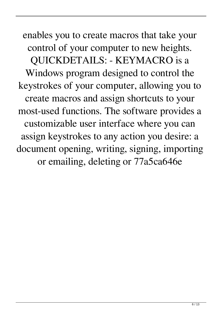enables you to create macros that take your control of your computer to new heights. QUICKDETAILS: - KEYMACRO is a Windows program designed to control the keystrokes of your computer, allowing you to create macros and assign shortcuts to your most-used functions. The software provides a customizable user interface where you can assign keystrokes to any action you desire: a document opening, writing, signing, importing or emailing, deleting or 77a5ca646e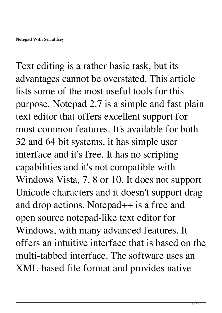Text editing is a rather basic task, but its advantages cannot be overstated. This article lists some of the most useful tools for this purpose. Notepad 2.7 is a simple and fast plain text editor that offers excellent support for most common features. It's available for both 32 and 64 bit systems, it has simple user interface and it's free. It has no scripting capabilities and it's not compatible with Windows Vista, 7, 8 or 10. It does not support Unicode characters and it doesn't support drag and drop actions. Notepad++ is a free and open source notepad-like text editor for Windows, with many advanced features. It offers an intuitive interface that is based on the multi-tabbed interface. The software uses an XML-based file format and provides native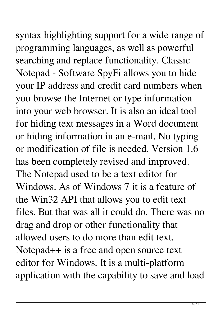syntax highlighting support for a wide range of programming languages, as well as powerful searching and replace functionality. Classic Notepad - Software SpyFi allows you to hide your IP address and credit card numbers when you browse the Internet or type information into your web browser. It is also an ideal tool for hiding text messages in a Word document or hiding information in an e-mail. No typing or modification of file is needed. Version 1.6 has been completely revised and improved. The Notepad used to be a text editor for Windows. As of Windows 7 it is a feature of the Win32 API that allows you to edit text files. But that was all it could do. There was no drag and drop or other functionality that allowed users to do more than edit text. Notepad++ is a free and open source text editor for Windows. It is a multi-platform application with the capability to save and load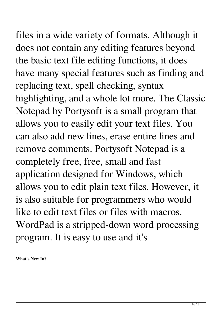## files in a wide variety of formats. Although it does not contain any editing features beyond the basic text file editing functions, it does have many special features such as finding and replacing text, spell checking, syntax highlighting, and a whole lot more. The Classic Notepad by Portysoft is a small program that allows you to easily edit your text files. You can also add new lines, erase entire lines and remove comments. Portysoft Notepad is a completely free, free, small and fast application designed for Windows, which allows you to edit plain text files. However, it is also suitable for programmers who would like to edit text files or files with macros.

WordPad is a stripped-down word processing program. It is easy to use and it's

**What's New In?**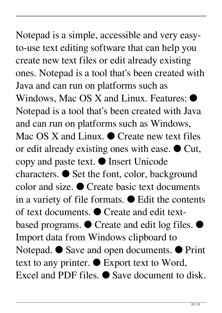## Notepad is a simple, accessible and very easyto-use text editing software that can help you create new text files or edit already existing ones. Notepad is a tool that's been created with Java and can run on platforms such as Windows, Mac OS X and Linux. Features: ● Notepad is a tool that's been created with Java and can run on platforms such as Windows, Mac OS X and Linux.  $\bullet$  Create new text files or edit already existing ones with ease. ● Cut, copy and paste text. ● Insert Unicode characters. ● Set the font, color, background color and size. ● Create basic text documents in a variety of file formats. ● Edit the contents of text documents. ● Create and edit textbased programs. ● Create and edit log files. ● Import data from Windows clipboard to Notepad. ● Save and open documents. ● Print text to any printer. ● Export text to Word,

Excel and PDF files. ● Save document to disk.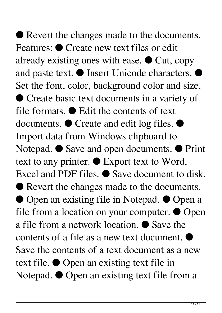● Revert the changes made to the documents. Features: ● Create new text files or edit already existing ones with ease.  $\bullet$  Cut, copy and paste text. ● Insert Unicode characters. ● Set the font, color, background color and size. ● Create basic text documents in a variety of file formats. ● Edit the contents of text documents. ● Create and edit log files. ● Import data from Windows clipboard to Notepad. ● Save and open documents. ● Print text to any printer. ● Export text to Word, Excel and PDF files. ● Save document to disk. ● Revert the changes made to the documents. ● Open an existing file in Notepad. ● Open a file from a location on your computer.  $\bullet$  Open a file from a network location. ● Save the contents of a file as a new text document. ● Save the contents of a text document as a new text file. ● Open an existing text file in Notepad. ● Open an existing text file from a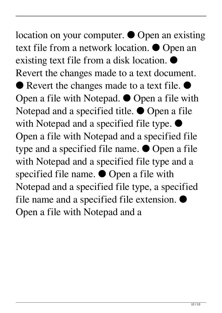location on your computer. ● Open an existing text file from a network location. ● Open an existing text file from a disk location. ● Revert the changes made to a text document. ● Revert the changes made to a text file. ● Open a file with Notepad. ● Open a file with Notepad and a specified title. ● Open a file with Notepad and a specified file type.  $\bullet$ Open a file with Notepad and a specified file type and a specified file name. ● Open a file with Notepad and a specified file type and a specified file name. ● Open a file with Notepad and a specified file type, a specified file name and a specified file extension.  $\bullet$ Open a file with Notepad and a